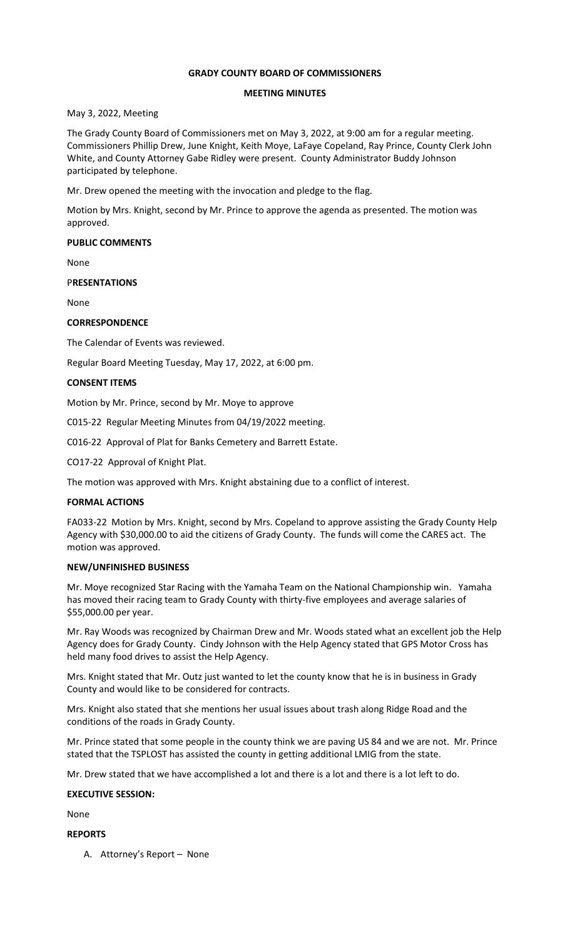## **GRADY COUNTY BOARD OF COMMISSIONERS**

## **MEETING MINUTES**

## May 3, 2022, Meeting

The Grady County Board of Commissioners met on May 3, 2022, at 9:00 am for a regular meeting. Commissioners Phillip Drew, June Knight, Keith Moye, LaFaye Copeland, Ray Prince, County Clerk John White, and County Attorney Gabe Ridley were present. County Administrator Buddy Johnson participated by telephone.

Mr. Drew opened the meeting with the invocation and pledge to the flag.

Motion by Mrs. Knight, second by Mr. Prince to approve the agenda as presented. The motion was approved.

### **PUBLIC COMMENTS**

None

### P**RESENTATIONS**

None

## **CORRESPONDENCE**

The Calendar of Events was reviewed.

Regular Board Meeting Tuesday, May 17, 2022, at 6:00 pm.

### **CONSENT ITEMS**

Motion by Mr. Prince, second by Mr. Moye to approve

C015-22 Regular Meeting Minutes from 04/19/2022 meeting.

C016-22 Approval of Plat for Banks Cemetery and Barrett Estate.

CO17-22 Approval of Knight Plat.

The motion was approved with Mrs. Knight abstaining due to a conflict of interest.

## **FORMAL ACTIONS**

FA033-22 Motion by Mrs. Knight, second by Mrs. Copeland to approve assisting the Grady County Help Agency with \$30,000.00 to aid the citizens of Grady County. The funds will come the CARES act. The motion was approved.

#### **NEW/UNFINISHED BUSINESS**

Mr. Moye recognized Star Racing with the Yamaha Team on the National Championship win. Yamaha has moved their racing team to Grady County with thirty-five employees and average salaries of \$55,000.00 per year.

Mr. Ray Woods was recognized by Chairman Drew and Mr. Woods stated what an excellent job the Help Agency does for Grady County. Cindy Johnson with the Help Agency stated that GPS Motor Cross has held many food drives to assist the Help Agency.

Mrs. Knight stated that Mr. Outz just wanted to let the county know that he is in business in Grady County and would like to be considered for contracts.

Mrs. Knight also stated that she mentions her usual issues about trash along Ridge Road and the conditions of the roads in Grady County.

Mr. Prince stated that some people in the county think we are paving US 84 and we are not. Mr. Prince stated that the TSPLOST has assisted the county in getting additional LMIG from the state.

Mr. Drew stated that we have accomplished a lot and there is a lot and there is a lot left to do.

#### **EXECUTIVE SESSION:**

None

#### **REPORTS**

A. Attorney's Report – None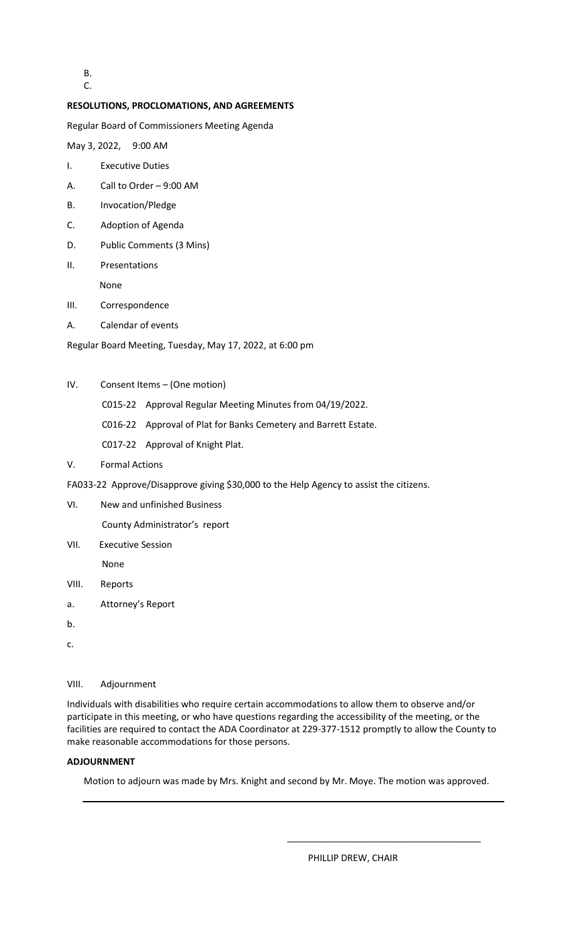B. C.

## **RESOLUTIONS, PROCLOMATIONS, AND AGREEMENTS**

Regular Board of Commissioners Meeting Agenda

May 3, 2022, 9:00 AM

- I. Executive Duties
- A. Call to Order 9:00 AM
- B. Invocation/Pledge
- C. Adoption of Agenda
- D. Public Comments (3 Mins)
- II. Presentations

None

- III. Correspondence
- A. Calendar of events

Regular Board Meeting, Tuesday, May 17, 2022, at 6:00 pm

- IV. Consent Items (One motion)
	- C015-22 Approval Regular Meeting Minutes from 04/19/2022.
	- C016-22 Approval of Plat for Banks Cemetery and Barrett Estate.
	- C017-22 Approval of Knight Plat.
- V. Formal Actions
- FA033-22 Approve/Disapprove giving \$30,000 to the Help Agency to assist the citizens.
- VI. New and unfinished Business

County Administrator's report

VII. Executive Session

None

- VIII. Reports
- a. Attorney's Report
- b.
- c.

# VIII. Adjournment

Individuals with disabilities who require certain accommodations to allow them to observe and/or participate in this meeting, or who have questions regarding the accessibility of the meeting, or the facilities are required to contact the ADA Coordinator at 229-377-1512 promptly to allow the County to make reasonable accommodations for those persons.

# **ADJOURNMENT**

Motion to adjourn was made by Mrs. Knight and second by Mr. Moye. The motion was approved.

 $\overline{\phantom{a}}$  , and the contract of the contract of the contract of the contract of the contract of the contract of the contract of the contract of the contract of the contract of the contract of the contract of the contrac

PHILLIP DREW, CHAIR